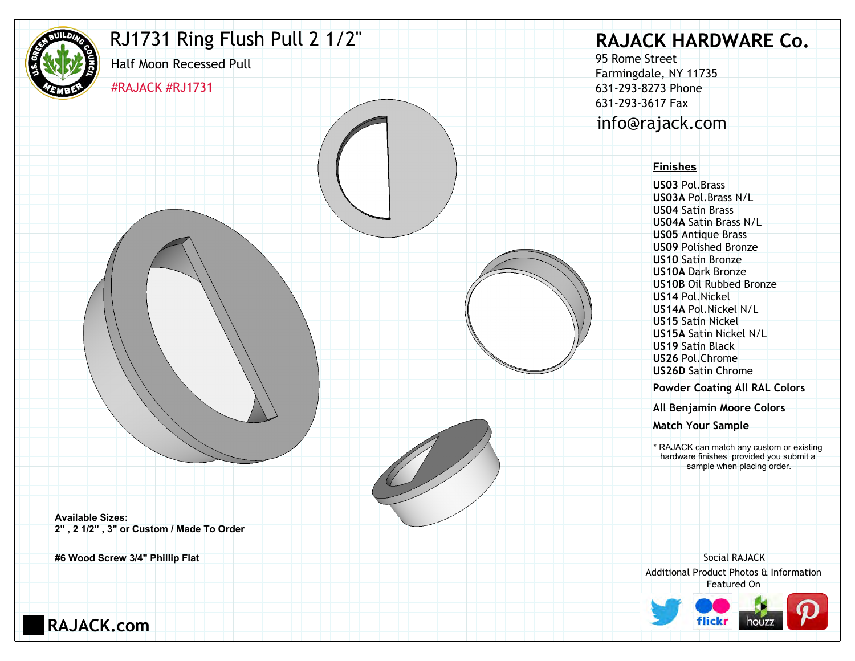

### RJ1731 Ring Flush Pull 2 1/2"

#RAJACK #RJ1731

Half Moon Recessed Pull

# **RAJACK HARDWARE Co.**

95 Rome Street Farmingdale, NY 11735 631-293-8273 Phone 631-293-3617 Fax info@rajack.com

#### **Finishes**

**US03** Pol.Brass **US03A** Pol.Brass N/L **US04** Satin Brass **US04A** Satin Brass N/L **US05** Antique Brass **US09** Polished Bronze **US10** Satin Bronze **US10A** Dark Bronze **US10B** Oil Rubbed Bronze **US14** Pol.Nickel **US14A** Pol.Nickel N/L **US15** Satin Nickel **US15A** Satin Nickel N/L **US19** Satin Black **US26** Pol.Chrome **US26D** Satin Chrome

**Powder Coating All RAL Colors**

**All Benjamin Moore Colors**

**Match Your Sample**

\* RAJACK can match any custom or existing hardware finishes provided you submit a sample when placing order.

**Available Sizes: 2" , 2 1/2" , 3" or Custom / Made To Order**

**#6 Wood Screw 3/4" Phillip Flat**

Additional Product Photos & Information Featured On Social RAJACK



**RAJACK.com**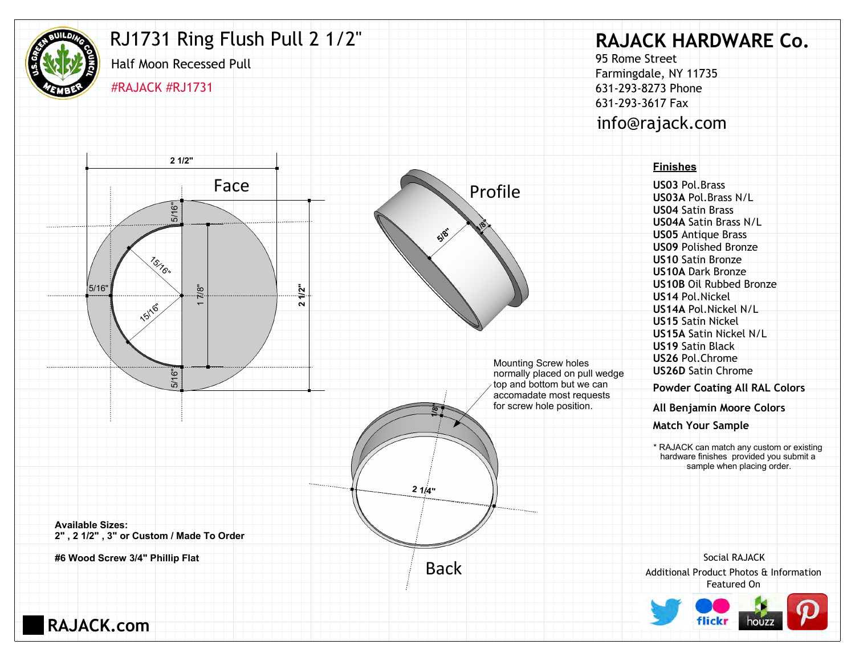

**RAJACK.com**

## RJ1731 Ring Flush Pull 2 1/2"

Half Moon Recessed Pull #RAJACK #RJ1731

# **RAJACK HARDWARE Co.**

95 Rome Street Farmingdale, NY 11735 631-293-8273 Phone 631-293-3617 Fax info@rajack.com

**US03** Pol.Brass **US03A** Pol.Brass N/L **US04** Satin Brass **US04A** Satin Brass N/L **US05** Antique Brass **US09** Polished Bronze **US10** Satin Bronze **US10A** Dark Bronze **US10B** Oil Rubbed Bronze **US14** Pol.Nickel **US14A** Pol.Nickel N/L **US15** Satin Nickel **US15A** Satin Nickel N/L **US19** Satin Black **US26** Pol.Chrome **US26D** Satin Chrome

**Powder Coating All RAL Colors**

**All Benjamin Moore Colors**

**Match Your Sample**

\* RAJACK can match any custom or existing hardware finishes provided you submit a sample when placing order.

Additional Product Photos & Information Featured On Social RAJACK



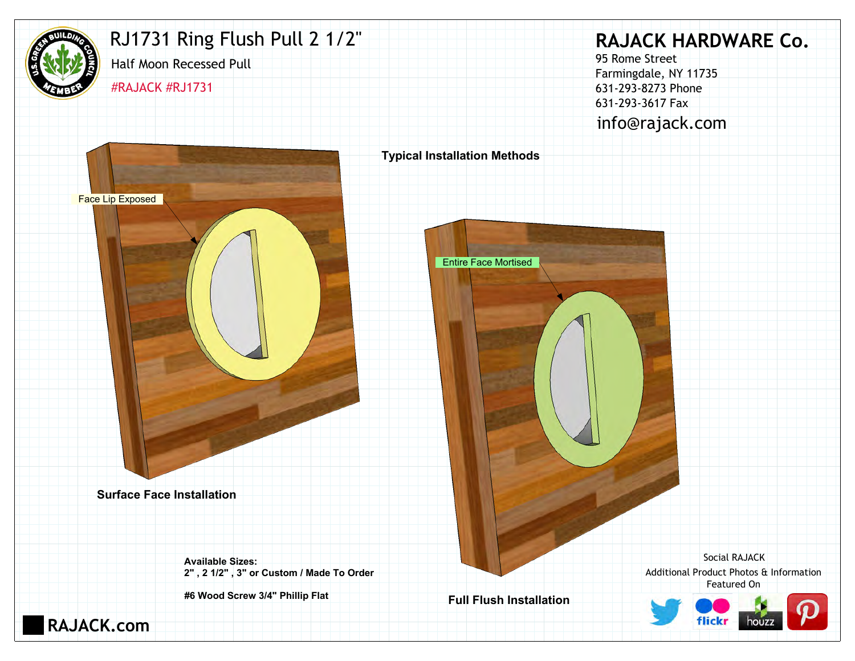

# RJ1731 Ring Flush Pull 2 1/2"

Half Moon Recessed Pull

#RAJACK #RJ1731

**RAJACK HARDWARE Co.**

95 Rome Street Farmingdale, NY 11735 631-293-8273 Phone 631-293-3617 Fax info@rajack.com



Additional Product Photos & Information Featured On Social RAJACK